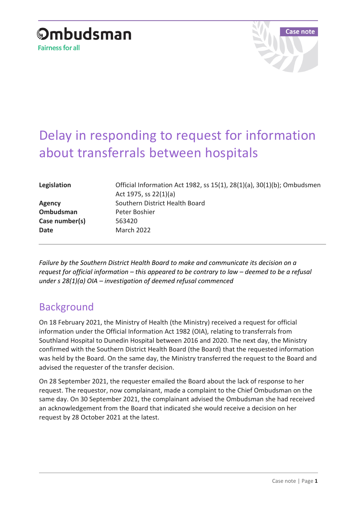



## Delay in responding to request for information about transferrals between hospitals

| Legislation    | Official Information Act 1982, ss 15(1), 28(1)(a), 30(1)(b); Ombudsmen<br>Act 1975, ss $22(1)(a)$ |
|----------------|---------------------------------------------------------------------------------------------------|
| <b>Agency</b>  | Southern District Health Board                                                                    |
| Ombudsman      | Peter Boshier                                                                                     |
| Case number(s) | 563420                                                                                            |
| Date           | March 2022                                                                                        |
|                |                                                                                                   |

*Failure by the Southern District Health Board to make and communicate its decision on a request for official information – this appeared to be contrary to law – deemed to be a refusal under s 28(1)(a) OIA – investigation of deemed refusal commenced*

## Background

On 18 February 2021, the Ministry of Health (the Ministry) received a request for official information under the Official Information Act 1982 (OIA), relating to transferrals from Southland Hospital to Dunedin Hospital between 2016 and 2020. The next day, the Ministry confirmed with the Southern District Health Board (the Board) that the requested information was held by the Board. On the same day, the Ministry transferred the request to the Board and advised the requester of the transfer decision.

On 28 September 2021, the requester emailed the Board about the lack of response to her request. The requestor, now complainant, made a complaint to the Chief Ombudsman on the same day. On 30 September 2021, the complainant advised the Ombudsman she had received an acknowledgement from the Board that indicated she would receive a decision on her request by 28 October 2021 at the latest.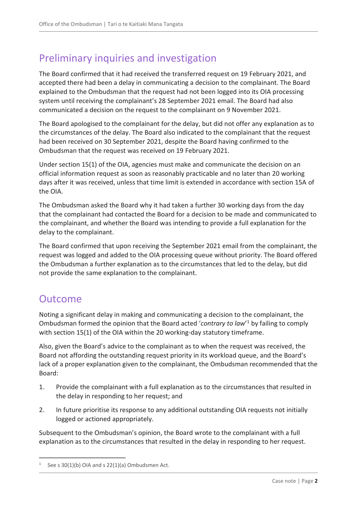## Preliminary inquiries and investigation

The Board confirmed that it had received the transferred request on 19 February 2021, and accepted there had been a delay in communicating a decision to the complainant. The Board explained to the Ombudsman that the request had not been logged into its OIA processing system until receiving the complainant's 28 September 2021 email. The Board had also communicated a decision on the request to the complainant on 9 November 2021.

The Board apologised to the complainant for the delay, but did not offer any explanation as to the circumstances of the delay. The Board also indicated to the complainant that the request had been received on 30 September 2021, despite the Board having confirmed to the Ombudsman that the request was received on 19 February 2021.

Under section 15(1) of the OIA, agencies must make and communicate the decision on an official information request as soon as reasonably practicable and no later than 20 working days after it was received, unless that time limit is extended in accordance with section 15A of the OIA.

The Ombudsman asked the Board why it had taken a further 30 working days from the day that the complainant had contacted the Board for a decision to be made and communicated to the complainant, and whether the Board was intending to provide a full explanation for the delay to the complainant.

The Board confirmed that upon receiving the September 2021 email from the complainant, the request was logged and added to the OIA processing queue without priority. The Board offered the Ombudsman a further explanation as to the circumstances that led to the delay, but did not provide the same explanation to the complainant.

## Outcome

 $\overline{a}$ 

Noting a significant delay in making and communicating a decision to the complainant, the Ombudsman formed the opinion that the Board acted '*contrary to law*' <sup>1</sup> by failing to comply with section 15(1) of the OIA within the 20 working-day statutory timeframe.

Also, given the Board's advice to the complainant as to when the request was received, the Board not affording the outstanding request priority in its workload queue, and the Board's lack of a proper explanation given to the complainant, the Ombudsman recommended that the Board:

- 1. Provide the complainant with a full explanation as to the circumstances that resulted in the delay in responding to her request; and
- 2. In future prioritise its response to any additional outstanding OIA requests not initially logged or actioned appropriately.

Subsequent to the Ombudsman's opinion, the Board wrote to the complainant with a full explanation as to the circumstances that resulted in the delay in responding to her request.

<sup>1</sup> See s 30(1)(b) OIA and s 22(1)(a) Ombudsmen Act.